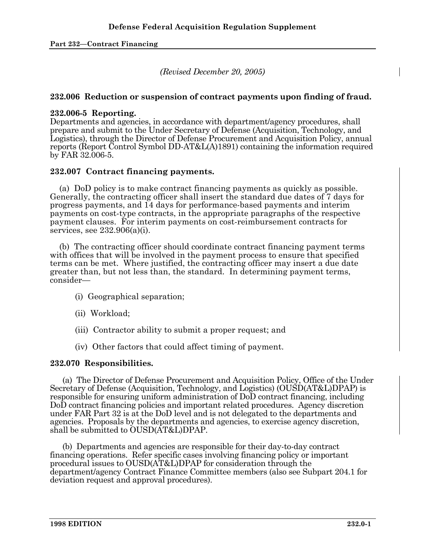*(Revised December 20, 2005)* 

## **232.006 Reduction or suspension of contract payments upon finding of fraud.**

## **232.006-5 Reporting.**

Departments and agencies, in accordance with department/agency procedures, shall prepare and submit to the Under Secretary of Defense (Acquisition, Technology, and Logistics), through the Director of Defense Procurement and Acquisition Policy, annual reports (Report Control Symbol DD-AT&L(A)1891) containing the information required by FAR 32.006-5.

# **232.007 Contract financing payments.**

 (a) DoD policy is to make contract financing payments as quickly as possible. Generally, the contracting officer shall insert the standard due dates of 7 days for progress payments, and 14 days for performance-based payments and interim payments on cost-type contracts, in the appropriate paragraphs of the respective payment clauses. For interim payments on cost-reimbursement contracts for services, see  $232.906(a)(i)$ .

 (b) The contracting officer should coordinate contract financing payment terms with offices that will be involved in the payment process to ensure that specified terms can be met. Where justified, the contracting officer may insert a due date greater than, but not less than, the standard. In determining payment terms, consider—

- (i) Geographical separation;
- (ii) Workload;
- (iii) Contractor ability to submit a proper request; and
- (iv) Other factors that could affect timing of payment.

#### **232.070 Responsibilities.**

 (a) The Director of Defense Procurement and Acquisition Policy, Office of the Under Secretary of Defense (Acquisition, Technology, and Logistics) (OUSD(AT&L)DPAP) is responsible for ensuring uniform administration of DoD contract financing, including DoD contract financing policies and important related procedures. Agency discretion under FAR Part 32 is at the DoD level and is not delegated to the departments and agencies. Proposals by the departments and agencies, to exercise agency discretion, shall be submitted to OUSD(AT&L)DPAP.

 (b) Departments and agencies are responsible for their day-to-day contract financing operations. Refer specific cases involving financing policy or important procedural issues to OUSD(AT&L)DPAP for consideration through the department/agency Contract Finance Committee members (also see Subpart 204.1 for deviation request and approval procedures).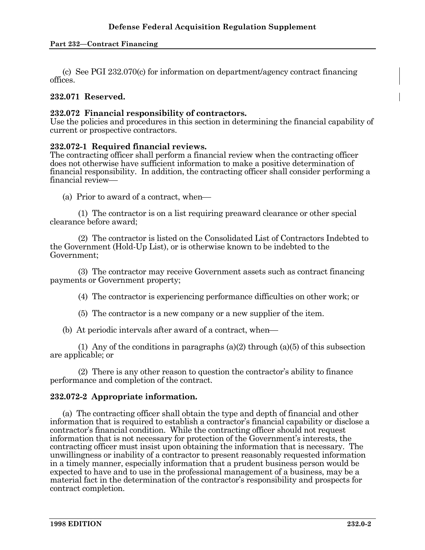(c) See PGI 232.070(c) for information on department/agency contract financing offices.

## **232.071 Reserved.**

## **232.072 Financial responsibility of contractors.**

Use the policies and procedures in this section in determining the financial capability of current or prospective contractors.

## **232.072-1 Required financial reviews.**

The contracting officer shall perform a financial review when the contracting officer does not otherwise have sufficient information to make a positive determination of financial responsibility. In addition, the contracting officer shall consider performing a financial review—

(a) Prior to award of a contract, when—

 (1) The contractor is on a list requiring preaward clearance or other special clearance before award;

 (2) The contractor is listed on the Consolidated List of Contractors Indebted to the Government (Hold-Up List), or is otherwise known to be indebted to the Government;

 (3) The contractor may receive Government assets such as contract financing payments or Government property;

(4) The contractor is experiencing performance difficulties on other work; or

(5) The contractor is a new company or a new supplier of the item.

(b) At periodic intervals after award of a contract, when—

 (1) Any of the conditions in paragraphs (a)(2) through (a)(5) of this subsection are applicable; or

 (2) There is any other reason to question the contractor's ability to finance performance and completion of the contract.

# **232.072-2 Appropriate information.**

 (a) The contracting officer shall obtain the type and depth of financial and other information that is required to establish a contractor's financial capability or disclose a contractor's financial condition. While the contracting officer should not request information that is not necessary for protection of the Government's interests, the contracting officer must insist upon obtaining the information that is necessary. The unwillingness or inability of a contractor to present reasonably requested information in a timely manner, especially information that a prudent business person would be expected to have and to use in the professional management of a business, may be a material fact in the determination of the contractor's responsibility and prospects for contract completion.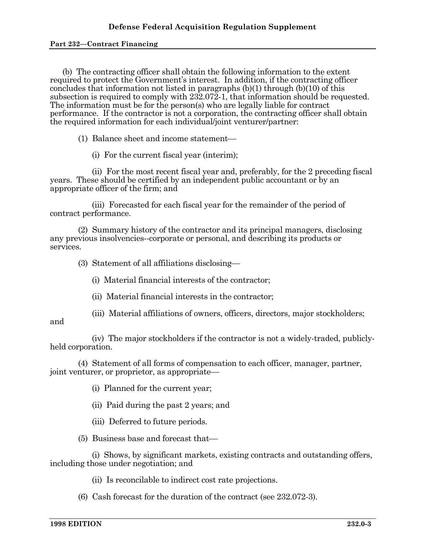(b) The contracting officer shall obtain the following information to the extent required to protect the Government's interest. In addition, if the contracting officer concludes that information not listed in paragraphs (b)(1) through (b)(10) of this subsection is required to comply with 232.072-1, that information should be requested. The information must be for the person(s) who are legally liable for contract performance. If the contractor is not a corporation, the contracting officer shall obtain the required information for each individual/joint venturer/partner:

 $(1)$  Balance sheet and income statement—

(i) For the current fiscal year (interim);

 (ii) For the most recent fiscal year and, preferably, for the 2 preceding fiscal years. These should be certified by an independent public accountant or by an appropriate officer of the firm; and

 (iii) Forecasted for each fiscal year for the remainder of the period of contract performance.

 (2) Summary history of the contractor and its principal managers, disclosing any previous insolvencies--corporate or personal, and describing its products or services.

 $(3)$  Statement of all affiliations disclosing—

(i) Material financial interests of the contractor;

- (ii) Material financial interests in the contractor;
- (iii) Material affiliations of owners, officers, directors, major stockholders;

#### and

 (iv) The major stockholders if the contractor is not a widely-traded, publiclyheld corporation.

 (4) Statement of all forms of compensation to each officer, manager, partner, joint venturer, or proprietor, as appropriate—

(i) Planned for the current year;

(ii) Paid during the past 2 years; and

(iii) Deferred to future periods.

 $(5)$  Business base and forecast that—

 (i) Shows, by significant markets, existing contracts and outstanding offers, including those under negotiation; and

(ii) Is reconcilable to indirect cost rate projections.

(6) Cash forecast for the duration of the contract (see 232.072-3).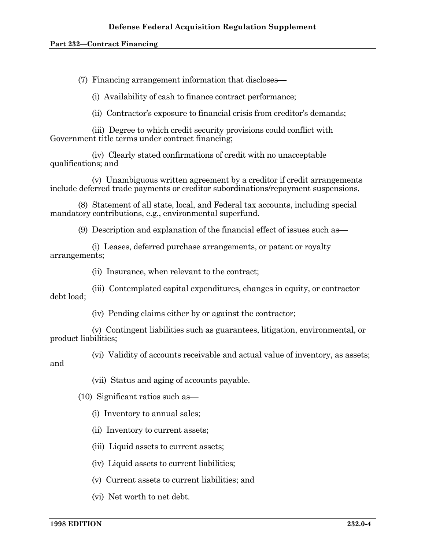$(7)$  Financing arrangement information that discloses—

(i) Availability of cash to finance contract performance;

(ii) Contractor's exposure to financial crisis from creditor's demands;

 (iii) Degree to which credit security provisions could conflict with Government title terms under contract financing;

 (iv) Clearly stated confirmations of credit with no unacceptable qualifications; and

 (v) Unambiguous written agreement by a creditor if credit arrangements include deferred trade payments or creditor subordinations/repayment suspensions.

 (8) Statement of all state, local, and Federal tax accounts, including special mandatory contributions, e.g., environmental superfund.

(9) Description and explanation of the financial effect of issues such as  $-$ 

 (i) Leases, deferred purchase arrangements, or patent or royalty arrangements;

(ii) Insurance, when relevant to the contract;

 (iii) Contemplated capital expenditures, changes in equity, or contractor debt load;

(iv) Pending claims either by or against the contractor;

 (v) Contingent liabilities such as guarantees, litigation, environmental, or product liabilities;

 (vi) Validity of accounts receivable and actual value of inventory, as assets; and

(vii) Status and aging of accounts payable.

 $(10)$  Significant ratios such as  $-$ 

- (i) Inventory to annual sales;
- (ii) Inventory to current assets;
- (iii) Liquid assets to current assets;
- (iv) Liquid assets to current liabilities;
- (v) Current assets to current liabilities; and
- (vi) Net worth to net debt.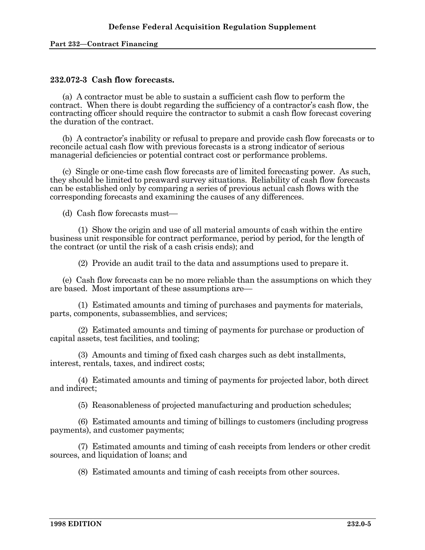## **232.072-3 Cash flow forecasts.**

 (a) A contractor must be able to sustain a sufficient cash flow to perform the contract. When there is doubt regarding the sufficiency of a contractor's cash flow, the contracting officer should require the contractor to submit a cash flow forecast covering the duration of the contract.

 (b) A contractor's inability or refusal to prepare and provide cash flow forecasts or to reconcile actual cash flow with previous forecasts is a strong indicator of serious managerial deficiencies or potential contract cost or performance problems.

 (c) Single or one-time cash flow forecasts are of limited forecasting power. As such, they should be limited to preaward survey situations. Reliability of cash flow forecasts can be established only by comparing a series of previous actual cash flows with the corresponding forecasts and examining the causes of any differences.

(d) Cash flow forecasts must— $\overline{\phantom{a}}$ 

 (1) Show the origin and use of all material amounts of cash within the entire business unit responsible for contract performance, period by period, for the length of the contract (or until the risk of a cash crisis ends); and

(2) Provide an audit trail to the data and assumptions used to prepare it.

 (e) Cash flow forecasts can be no more reliable than the assumptions on which they are based. Most important of these assumptions are—

 (1) Estimated amounts and timing of purchases and payments for materials, parts, components, subassemblies, and services;

 (2) Estimated amounts and timing of payments for purchase or production of capital assets, test facilities, and tooling;

 (3) Amounts and timing of fixed cash charges such as debt installments, interest, rentals, taxes, and indirect costs;

 (4) Estimated amounts and timing of payments for projected labor, both direct and indirect;

(5) Reasonableness of projected manufacturing and production schedules;

 (6) Estimated amounts and timing of billings to customers (including progress payments), and customer payments;

 (7) Estimated amounts and timing of cash receipts from lenders or other credit sources, and liquidation of loans; and

(8) Estimated amounts and timing of cash receipts from other sources.